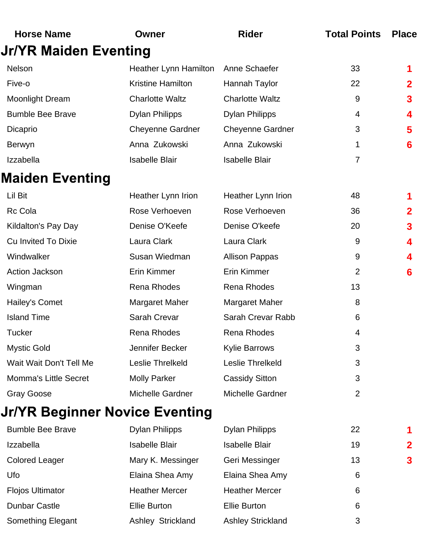| <b>Horse Name</b>              | Owner                        | <b>Rider</b>            | <b>Total Points</b> | <b>Place</b> |
|--------------------------------|------------------------------|-------------------------|---------------------|--------------|
| <b>Jr/YR Maiden Eventing</b>   |                              |                         |                     |              |
| Nelson                         | <b>Heather Lynn Hamilton</b> | Anne Schaefer           | 33                  |              |
| Five-o                         | <b>Kristine Hamilton</b>     | Hannah Taylor           | 22                  | 2            |
| <b>Moonlight Dream</b>         | <b>Charlotte Waltz</b>       | <b>Charlotte Waltz</b>  | 9                   | 3            |
| <b>Bumble Bee Brave</b>        | <b>Dylan Philipps</b>        | <b>Dylan Philipps</b>   | 4                   | 4            |
| Dicaprio                       | <b>Cheyenne Gardner</b>      | <b>Cheyenne Gardner</b> | 3                   | 5            |
| <b>Berwyn</b>                  | Anna Zukowski                | Anna Zukowski           | 1                   | 6            |
| Izzabella                      | <b>Isabelle Blair</b>        | <b>Isabelle Blair</b>   | $\overline{7}$      |              |
| Maiden Eventing                |                              |                         |                     |              |
| Lil Bit                        | Heather Lynn Irion           | Heather Lynn Irion      | 48                  |              |
| <b>Rc Cola</b>                 | Rose Verhoeven               | Rose Verhoeven          | 36                  | $\mathbf{2}$ |
| Kildalton's Pay Day            | Denise O'Keefe               | Denise O'keefe          | 20                  | 3            |
| <b>Cu Invited To Dixie</b>     | Laura Clark                  | Laura Clark             | 9                   | 4            |
| Windwalker                     | Susan Wiedman                | <b>Allison Pappas</b>   | 9                   | 4            |
| <b>Action Jackson</b>          | <b>Erin Kimmer</b>           | Erin Kimmer             | $\overline{2}$      | 6            |
| Wingman                        | Rena Rhodes                  | <b>Rena Rhodes</b>      | 13                  |              |
| Hailey's Comet                 | Margaret Maher               | Margaret Maher          | 8                   |              |
| <b>Island Time</b>             | Sarah Crevar                 | Sarah Crevar Rabb       | 6                   |              |
| Tucker                         | Rena Rhodes                  | Rena Rhodes             | 4                   |              |
| <b>Mystic Gold</b>             | Jennifer Becker              | <b>Kylie Barrows</b>    | 3                   |              |
| Wait Wait Don't Tell Me        | Leslie Threlkeld             | Leslie Threlkeld        | 3                   |              |
| <b>Momma's Little Secret</b>   | <b>Molly Parker</b>          | <b>Cassidy Sitton</b>   | 3                   |              |
| Gray Goose                     | Michelle Gardner             | Michelle Gardner        | $\overline{2}$      |              |
| Jr/YR Beginner Novice Eventing |                              |                         |                     |              |
|                                |                              |                         |                     |              |

| <b>Bumble Bee Brave</b>  | <b>Dylan Philipps</b> | <b>Dylan Philipps</b>    | 22 |             |
|--------------------------|-----------------------|--------------------------|----|-------------|
| <b>Izzabella</b>         | <b>Isabelle Blair</b> | <b>Isabelle Blair</b>    | 19 | $\mathbf 2$ |
| <b>Colored Leager</b>    | Mary K. Messinger     | Geri Messinger           | 13 | 3           |
| Ufo                      | Elaina Shea Amy       | Elaina Shea Amy          | 6  |             |
| <b>Flojos Ultimator</b>  | <b>Heather Mercer</b> | <b>Heather Mercer</b>    | 6  |             |
| <b>Dunbar Castle</b>     | <b>Ellie Burton</b>   | <b>Ellie Burton</b>      | 6  |             |
| <b>Something Elegant</b> | Ashley Strickland     | <b>Ashley Strickland</b> | 3  |             |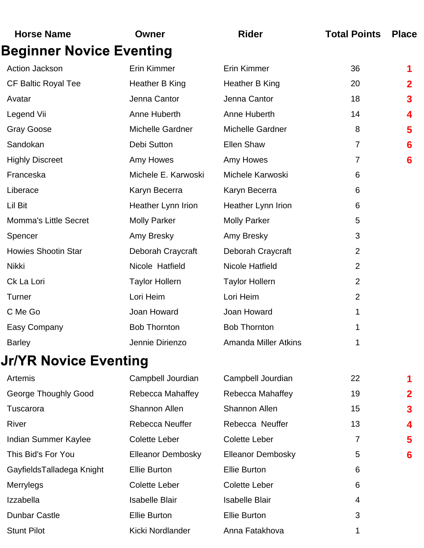| <b>Horse Name</b>               | Owner                    | <b>Rider</b>                | <b>Total Points</b> | <b>Place</b> |
|---------------------------------|--------------------------|-----------------------------|---------------------|--------------|
| <b>Beginner Novice Eventing</b> |                          |                             |                     |              |
| Action Jackson                  | Erin Kimmer              | Erin Kimmer                 | 36                  | 1            |
| <b>CF Baltic Royal Tee</b>      | Heather B King           | Heather B King              | 20                  | $\mathbf 2$  |
| Avatar                          | Jenna Cantor             | Jenna Cantor                | 18                  | 3            |
| Legend Vii                      | Anne Huberth             | Anne Huberth                | 14                  | 4            |
| <b>Gray Goose</b>               | <b>Michelle Gardner</b>  | <b>Michelle Gardner</b>     | 8                   | 5            |
| Sandokan                        | Debi Sutton              | <b>Ellen Shaw</b>           | 7                   | 6            |
| <b>Highly Discreet</b>          | Amy Howes                | Amy Howes                   | 7                   | 6            |
| Franceska                       | Michele E. Karwoski      | Michele Karwoski            | 6                   |              |
| Liberace                        | Karyn Becerra            | Karyn Becerra               | 6                   |              |
| Lil Bit                         | Heather Lynn Irion       | Heather Lynn Irion          | 6                   |              |
| <b>Momma's Little Secret</b>    | <b>Molly Parker</b>      | <b>Molly Parker</b>         | 5                   |              |
| Spencer                         | Amy Bresky               | Amy Bresky                  | 3                   |              |
| <b>Howies Shootin Star</b>      | Deborah Craycraft        | Deborah Craycraft           | $\overline{2}$      |              |
| Nikki                           | Nicole Hatfield          | <b>Nicole Hatfield</b>      | $\overline{2}$      |              |
| Ck La Lori                      | <b>Taylor Hollern</b>    | <b>Taylor Hollern</b>       | $\overline{2}$      |              |
| Turner                          | Lori Heim                | Lori Heim                   | $\overline{2}$      |              |
| C Me Go                         | Joan Howard              | Joan Howard                 | 1                   |              |
| Easy Company                    | <b>Bob Thornton</b>      | <b>Bob Thornton</b>         | 1                   |              |
| <b>Barley</b>                   | Jennie Dirienzo          | <b>Amanda Miller Atkins</b> | 1                   |              |
| <b>Jr/YR Novice Eventing</b>    |                          |                             |                     |              |
| Artemis                         | Campbell Jourdian        | Campbell Jourdian           | 22                  | 1            |
| <b>George Thoughly Good</b>     | Rebecca Mahaffey         | Rebecca Mahaffey            | 19                  | 2            |
| Tuscarora                       | <b>Shannon Allen</b>     | <b>Shannon Allen</b>        | 15                  | 3            |
| River                           | Rebecca Neuffer          | Rebecca Neuffer             | 13                  | 4            |
| Indian Summer Kaylee            | <b>Colette Leber</b>     | <b>Colette Leber</b>        | 7                   | 5            |
| This Bid's For You              | <b>Elleanor Dembosky</b> | <b>Elleanor Dembosky</b>    | 5                   | 6            |
| GayfieldsTalladega Knight       | <b>Ellie Burton</b>      | <b>Ellie Burton</b>         | 6                   |              |
| Merrylegs                       | <b>Colette Leber</b>     | <b>Colette Leber</b>        | 6                   |              |
| Izzabella                       | <b>Isabelle Blair</b>    | <b>Isabelle Blair</b>       | 4                   |              |
| <b>Dunbar Castle</b>            | <b>Ellie Burton</b>      | <b>Ellie Burton</b>         | 3                   |              |
| <b>Stunt Pilot</b>              | Kicki Nordlander         | Anna Fatakhova              |                     |              |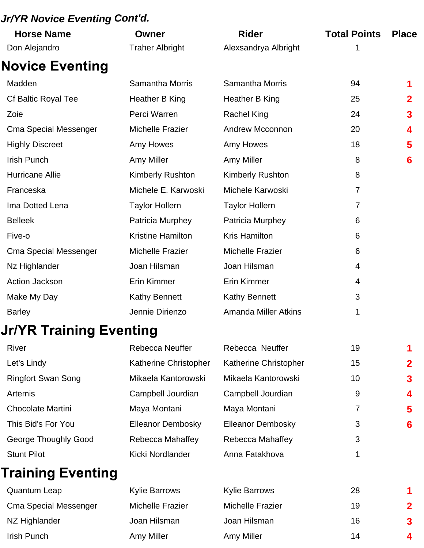#### *Jr/YR Novice Eventing Cont'd.*

| <b>Horse Name</b>            | Owner                    | <b>Rider</b>                | <b>Total Points</b> | <b>Place</b> |
|------------------------------|--------------------------|-----------------------------|---------------------|--------------|
| Don Alejandro                | <b>Traher Albright</b>   | Alexsandrya Albright        | 1                   |              |
| <b>Novice Eventing</b>       |                          |                             |                     |              |
| Madden                       | <b>Samantha Morris</b>   | <b>Samantha Morris</b>      | 94                  |              |
| Cf Baltic Royal Tee          | Heather B King           | Heather B King              | 25                  | 2            |
| Zoie                         | Perci Warren             | <b>Rachel King</b>          | 24                  | 3            |
| <b>Cma Special Messenger</b> | <b>Michelle Frazier</b>  | <b>Andrew Mcconnon</b>      | 20                  | 4            |
| <b>Highly Discreet</b>       | Amy Howes                | Amy Howes                   | 18                  | 5            |
| <b>Irish Punch</b>           | Amy Miller               | Amy Miller                  | 8                   | 6            |
| Hurricane Allie              | <b>Kimberly Rushton</b>  | <b>Kimberly Rushton</b>     | 8                   |              |
| Franceska                    | Michele E. Karwoski      | Michele Karwoski            | $\overline{7}$      |              |
| Ima Dotted Lena              | <b>Taylor Hollern</b>    | <b>Taylor Hollern</b>       | $\overline{7}$      |              |
| <b>Belleek</b>               | Patricia Murphey         | Patricia Murphey            | 6                   |              |
| Five-o                       | <b>Kristine Hamilton</b> | <b>Kris Hamilton</b>        | 6                   |              |
| <b>Cma Special Messenger</b> | <b>Michelle Frazier</b>  | <b>Michelle Frazier</b>     | 6                   |              |
| Nz Highlander                | Joan Hilsman             | Joan Hilsman                | 4                   |              |
| <b>Action Jackson</b>        | Erin Kimmer              | Erin Kimmer                 | 4                   |              |
| Make My Day                  | <b>Kathy Bennett</b>     | <b>Kathy Bennett</b>        | 3                   |              |
| <b>Barley</b>                | Jennie Dirienzo          | <b>Amanda Miller Atkins</b> | 1                   |              |
| Jr/YR Training Eventing      |                          |                             |                     |              |
| River                        | Rebecca Neuffer          | Rebecca Neuffer             | 19                  |              |
| Let's Lindy                  | Katherine Christopher    | Katherine Christopher       | 15                  | 2            |
| <b>Ringfort Swan Song</b>    | Mikaela Kantorowski      | Mikaela Kantorowski         | 10                  | 3            |
| Artemis                      | Campbell Jourdian        | Campbell Jourdian           | 9                   | 4            |
| <b>Chocolate Martini</b>     | Maya Montani             | Maya Montani                | 7                   | 5            |
| This Bid's For You           | Elleanor Dembosky        | <b>Elleanor Dembosky</b>    | 3                   | 6            |
| George Thoughly Good         | Rebecca Mahaffey         | Rebecca Mahaffey            | 3                   |              |
| <b>Stunt Pilot</b>           | Kicki Nordlander         | Anna Fatakhova              | 1                   |              |
| <b>Training Eventing</b>     |                          |                             |                     |              |
| <b>Quantum Leap</b>          | <b>Kylie Barrows</b>     | <b>Kylie Barrows</b>        | 28                  |              |
| <b>Cma Special Messenger</b> | <b>Michelle Frazier</b>  | <b>Michelle Frazier</b>     | 19                  |              |

NZ Highlander Joan Hilsman Joan Hilsman 16 **3**

Irish Punch Amy Miller Amy Miller 14 **4**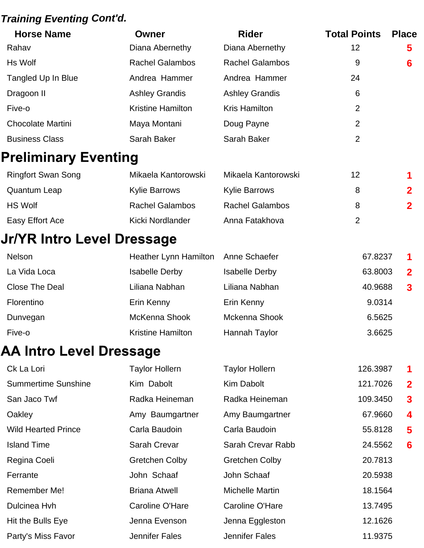#### *Training Eventing Cont'd.*

| <b>Horse Name</b>                 | Owner                        | <b>Rider</b>           | <b>Total Points</b> | <b>Place</b>            |
|-----------------------------------|------------------------------|------------------------|---------------------|-------------------------|
| Rahav                             | Diana Abernethy              | Diana Abernethy        | 12                  | 5                       |
| Hs Wolf                           | <b>Rachel Galambos</b>       | <b>Rachel Galambos</b> | 9                   | 6                       |
| Tangled Up In Blue                | Andrea Hammer                | Andrea Hammer          | 24                  |                         |
| Dragoon II                        | <b>Ashley Grandis</b>        | <b>Ashley Grandis</b>  | 6                   |                         |
| Five-o                            | <b>Kristine Hamilton</b>     | <b>Kris Hamilton</b>   | $\overline{2}$      |                         |
| <b>Chocolate Martini</b>          | Maya Montani                 | Doug Payne             | $\overline{2}$      |                         |
| <b>Business Class</b>             | Sarah Baker                  | Sarah Baker            | $\overline{2}$      |                         |
| <b>Preliminary Eventing</b>       |                              |                        |                     |                         |
| <b>Ringfort Swan Song</b>         | Mikaela Kantorowski          | Mikaela Kantorowski    | 12                  | 1                       |
| <b>Quantum Leap</b>               | <b>Kylie Barrows</b>         | <b>Kylie Barrows</b>   | 8                   | $\overline{2}$          |
| <b>HS Wolf</b>                    | <b>Rachel Galambos</b>       | <b>Rachel Galambos</b> | 8                   | $\mathbf 2$             |
| Easy Effort Ace                   | Kicki Nordlander             | Anna Fatakhova         | $\overline{2}$      |                         |
| <b>Jr/YR Intro Level Dressage</b> |                              |                        |                     |                         |
| Nelson                            | <b>Heather Lynn Hamilton</b> | Anne Schaefer          | 67.8237             | 1                       |
| La Vida Loca                      | <b>Isabelle Derby</b>        | <b>Isabelle Derby</b>  | 63.8003             | $\mathbf 2$             |
| <b>Close The Deal</b>             | Liliana Nabhan               | Liliana Nabhan         | 40.9688             | $\overline{\mathbf{3}}$ |
| Florentino                        | Erin Kenny                   | Erin Kenny             | 9.0314              |                         |
| Dunvegan                          | McKenna Shook                | Mckenna Shook          | 6.5625              |                         |
| Five-o                            | <b>Kristine Hamilton</b>     | Hannah Taylor          | 3.6625              |                         |
| <b>AA Intro Level Dressage</b>    |                              |                        |                     |                         |
| Ck La Lori                        | <b>Taylor Hollern</b>        | <b>Taylor Hollern</b>  | 126.3987            | 1                       |
| <b>Summertime Sunshine</b>        | Kim Dabolt                   | Kim Dabolt             | 121.7026            | $\mathbf 2$             |
| San Jaco Twf                      | Radka Heineman               | Radka Heineman         | 109.3450            | $\overline{\mathbf{3}}$ |
| Oakley                            | Amy Baumgartner              | Amy Baumgartner        | 67.9660             | 4                       |
| <b>Wild Hearted Prince</b>        | Carla Baudoin                | Carla Baudoin          | 55.8128             | 5                       |
| <b>Island Time</b>                | Sarah Crevar                 | Sarah Crevar Rabb      | 24.5562             | 6                       |
| Regina Coeli                      | <b>Gretchen Colby</b>        | <b>Gretchen Colby</b>  | 20.7813             |                         |
| Ferrante                          | John Schaaf                  | John Schaaf            | 20.5938             |                         |
| Remember Me!                      | <b>Briana Atwell</b>         | <b>Michelle Martin</b> | 18.1564             |                         |
| Dulcinea Hvh                      | Caroline O'Hare              | Caroline O'Hare        | 13.7495             |                         |
| Hit the Bulls Eye                 | Jenna Evenson                | Jenna Eggleston        | 12.1626             |                         |
| Party's Miss Favor                | <b>Jennifer Fales</b>        | <b>Jennifer Fales</b>  | 11.9375             |                         |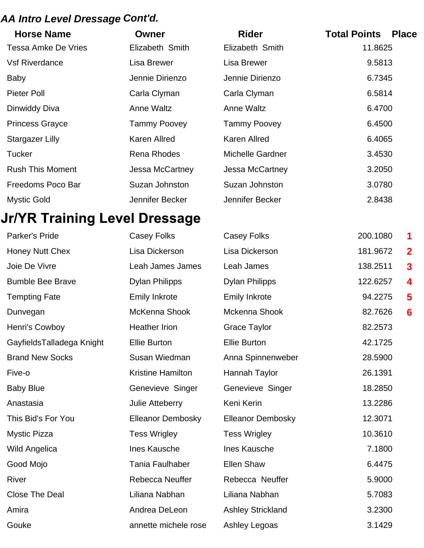## *AA Intro Level Dressage Cont'd.*

| <b>Horse Name</b>       | Owner               | <b>Rider</b>        | <b>Total Points</b><br><b>Place</b> |
|-------------------------|---------------------|---------------------|-------------------------------------|
| Tessa Amke De Vries     | Elizabeth Smith     | Elizabeth Smith     | 11.8625                             |
| <b>Vsf Riverdance</b>   | Lisa Brewer         | Lisa Brewer         | 9.5813                              |
| <b>Baby</b>             | Jennie Dirienzo     | Jennie Dirienzo     | 6.7345                              |
| Pieter Poll             | Carla Clyman        | Carla Clyman        | 6.5814                              |
| Dinwiddy Diva           | Anne Waltz          | Anne Waltz          | 6.4700                              |
| <b>Princess Grayce</b>  | <b>Tammy Poovey</b> | <b>Tammy Poovey</b> | 6.4500                              |
| Stargazer Lilly         | Karen Allred        | Karen Allred        | 6.4065                              |
| <b>Tucker</b>           | <b>Rena Rhodes</b>  | Michelle Gardner    | 3.4530                              |
| <b>Rush This Moment</b> | Jessa McCartney     | Jessa McCartney     | 3.2050                              |
| Freedoms Poco Bar       | Suzan Johnston      | Suzan Johnston      | 3.0780                              |
| <b>Mystic Gold</b>      | Jennifer Becker     | Jennifer Becker     | 2.8438                              |

# **Jr/YR Training Level Dressage**

| Parker's Pride            | Casey Folks              | <b>Casey Folks</b>       | 200.1080 | 1            |
|---------------------------|--------------------------|--------------------------|----------|--------------|
| <b>Honey Nutt Chex</b>    | Lisa Dickerson           | Lisa Dickerson           | 181.9672 | $\mathbf{2}$ |
| Joie De Vivre             | Leah James James         | Leah James               | 138.2511 | 3            |
| <b>Bumble Bee Brave</b>   | <b>Dylan Philipps</b>    | <b>Dylan Philipps</b>    | 122.6257 | 4            |
| <b>Tempting Fate</b>      | <b>Emily Inkrote</b>     | <b>Emily Inkrote</b>     | 94.2275  | 5            |
| Dunvegan                  | McKenna Shook            | Mckenna Shook            | 82.7626  | 6            |
| Henri's Cowboy            | <b>Heather Irion</b>     | <b>Grace Taylor</b>      | 82.2573  |              |
| GayfieldsTalladega Knight | <b>Ellie Burton</b>      | <b>Ellie Burton</b>      | 42.1725  |              |
| <b>Brand New Socks</b>    | Susan Wiedman            | Anna Spinnenweber        | 28.5900  |              |
| Five-o                    | <b>Kristine Hamilton</b> | Hannah Taylor            | 26.1391  |              |
| <b>Baby Blue</b>          | Genevieve Singer         | Genevieve Singer         | 18.2850  |              |
| Anastasia                 | Julie Atteberry          | Keni Kerin               | 13.2286  |              |
| This Bid's For You        | <b>Elleanor Dembosky</b> | <b>Elleanor Dembosky</b> | 12.3071  |              |
| <b>Mystic Pizza</b>       | <b>Tess Wrigley</b>      | <b>Tess Wrigley</b>      | 10.3610  |              |
| <b>Wild Angelica</b>      | Ines Kausche             | Ines Kausche             | 7.1800   |              |
| Good Mojo                 | <b>Tania Faulhaber</b>   | <b>Ellen Shaw</b>        | 6.4475   |              |
| River                     | Rebecca Neuffer          | Rebecca Neuffer          | 5.9000   |              |
| <b>Close The Deal</b>     | Liliana Nabhan           | Liliana Nabhan           | 5.7083   |              |
| Amira                     | Andrea DeLeon            | <b>Ashley Strickland</b> | 3.2300   |              |
| Gouke                     | annette michele rose     | Ashley Legoas            | 3.1429   |              |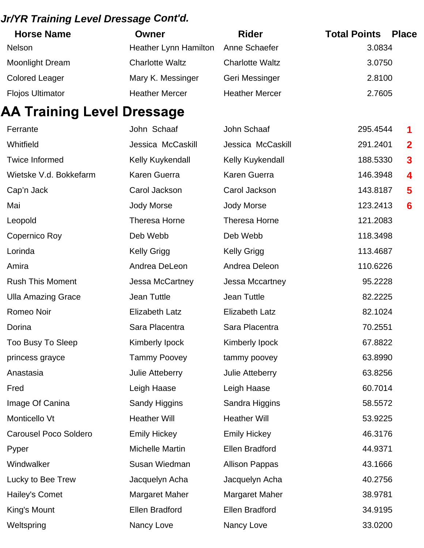#### *Jr/YR Training Level Dressage Cont'd.*

| <b>Horse Name</b>       | Owner                        | <b>Rider</b>           | <b>Total Points</b><br><b>Place</b> |
|-------------------------|------------------------------|------------------------|-------------------------------------|
| <b>Nelson</b>           | <b>Heather Lynn Hamilton</b> | Anne Schaefer          | 3.0834                              |
| <b>Moonlight Dream</b>  | <b>Charlotte Waltz</b>       | <b>Charlotte Waltz</b> | 3.0750                              |
| <b>Colored Leager</b>   | Mary K. Messinger            | Geri Messinger         | 2.8100                              |
| <b>Flojos Ultimator</b> | <b>Heather Mercer</b>        | <b>Heather Mercer</b>  | 2.7605                              |

| <b>AA Training Level Dressage</b> |                        |                       |          |                         |
|-----------------------------------|------------------------|-----------------------|----------|-------------------------|
| Ferrante                          | John Schaaf            | John Schaaf           | 295.4544 | 1                       |
| Whitfield                         | Jessica McCaskill      | Jessica McCaskill     | 291.2401 | $\overline{\mathbf{2}}$ |
| <b>Twice Informed</b>             | Kelly Kuykendall       | Kelly Kuykendall      | 188.5330 | 3                       |
| Wietske V.d. Bokkefarm            | <b>Karen Guerra</b>    | Karen Guerra          | 146.3948 | 4                       |
| Cap'n Jack                        | Carol Jackson          | Carol Jackson         | 143.8187 | 5                       |
| Mai                               | <b>Jody Morse</b>      | <b>Jody Morse</b>     | 123.2413 | 6                       |
| Leopold                           | <b>Theresa Horne</b>   | Theresa Horne         | 121.2083 |                         |
| Copernico Roy                     | Deb Webb               | Deb Webb              | 118.3498 |                         |
| Lorinda                           | <b>Kelly Grigg</b>     | <b>Kelly Grigg</b>    | 113.4687 |                         |
| Amira                             | Andrea DeLeon          | Andrea Deleon         | 110.6226 |                         |
| <b>Rush This Moment</b>           | Jessa McCartney        | Jessa Mccartney       | 95.2228  |                         |
| <b>Ulla Amazing Grace</b>         | Jean Tuttle            | Jean Tuttle           | 82.2225  |                         |
| Romeo Noir                        | Elizabeth Latz         | <b>Elizabeth Latz</b> | 82.1024  |                         |
| Dorina                            | Sara Placentra         | Sara Placentra        | 70.2551  |                         |
| Too Busy To Sleep                 | Kimberly Ipock         | Kimberly Ipock        | 67.8822  |                         |
| princess grayce                   | <b>Tammy Poovey</b>    | tammy poovey          | 63.8990  |                         |
| Anastasia                         | Julie Atteberry        | Julie Atteberry       | 63.8256  |                         |
| Fred                              | Leigh Haase            | Leigh Haase           | 60.7014  |                         |
| Image Of Canina                   | Sandy Higgins          | Sandra Higgins        | 58.5572  |                         |
| Monticello Vt                     | <b>Heather Will</b>    | <b>Heather Will</b>   | 53.9225  |                         |
| <b>Carousel Poco Soldero</b>      | <b>Emily Hickey</b>    | <b>Emily Hickey</b>   | 46.3176  |                         |
| Pyper                             | <b>Michelle Martin</b> | <b>Ellen Bradford</b> | 44.9371  |                         |
| Windwalker                        | Susan Wiedman          | <b>Allison Pappas</b> | 43.1666  |                         |
| Lucky to Bee Trew                 | Jacquelyn Acha         | Jacquelyn Acha        | 40.2756  |                         |
| Hailey's Comet                    | <b>Margaret Maher</b>  | <b>Margaret Maher</b> | 38.9781  |                         |
| King's Mount                      | <b>Ellen Bradford</b>  | <b>Ellen Bradford</b> | 34.9195  |                         |
| Weltspring                        | Nancy Love             | Nancy Love            | 33.0200  |                         |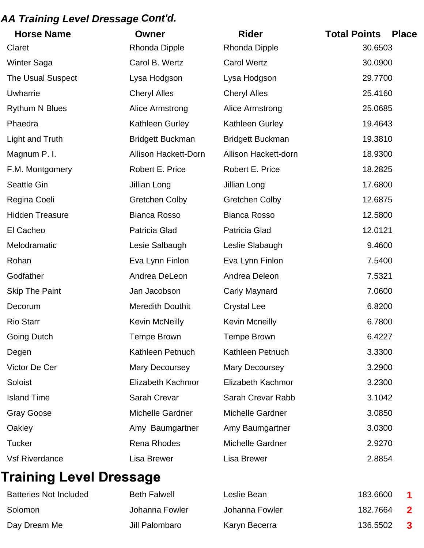## *AA Training Level Dressage Cont'd.*

| <b>Horse Name</b>        | <b>Owner</b>                | <b>Rider</b>            | <b>Total Points</b><br><b>Place</b> |
|--------------------------|-----------------------------|-------------------------|-------------------------------------|
| Claret                   | <b>Rhonda Dipple</b>        | <b>Rhonda Dipple</b>    | 30.6503                             |
| <b>Winter Saga</b>       | Carol B. Wertz              | <b>Carol Wertz</b>      | 30.0900                             |
| <b>The Usual Suspect</b> | Lysa Hodgson                | Lysa Hodgson            | 29.7700                             |
| <b>Uwharrie</b>          | <b>Cheryl Alles</b>         | <b>Cheryl Alles</b>     | 25.4160                             |
| <b>Rythum N Blues</b>    | Alice Armstrong             | Alice Armstrong         | 25.0685                             |
| Phaedra                  | Kathleen Gurley             | Kathleen Gurley         | 19.4643                             |
| Light and Truth          | <b>Bridgett Buckman</b>     | <b>Bridgett Buckman</b> | 19.3810                             |
| Magnum P.I.              | <b>Allison Hackett-Dorn</b> | Allison Hackett-dorn    | 18.9300                             |
| F.M. Montgomery          | Robert E. Price             | Robert E. Price         | 18.2825                             |
| <b>Seattle Gin</b>       | Jillian Long                | Jillian Long            | 17.6800                             |
| Regina Coeli             | <b>Gretchen Colby</b>       | <b>Gretchen Colby</b>   | 12.6875                             |
| <b>Hidden Treasure</b>   | <b>Bianca Rosso</b>         | <b>Bianca Rosso</b>     | 12.5800                             |
| El Cacheo                | Patricia Glad               | <b>Patricia Glad</b>    | 12.0121                             |
| Melodramatic             | Lesie Salbaugh              | Leslie Slabaugh         | 9.4600                              |
| Rohan                    | Eva Lynn Finlon             | Eva Lynn Finlon         | 7.5400                              |
| Godfather                | Andrea DeLeon               | Andrea Deleon           | 7.5321                              |
| <b>Skip The Paint</b>    | Jan Jacobson                | Carly Maynard           | 7.0600                              |
| Decorum                  | <b>Meredith Douthit</b>     | <b>Crystal Lee</b>      | 6.8200                              |
| <b>Rio Starr</b>         | <b>Kevin McNeilly</b>       | <b>Kevin Mcneilly</b>   | 6.7800                              |
| <b>Going Dutch</b>       | <b>Tempe Brown</b>          | <b>Tempe Brown</b>      | 6.4227                              |
| Degen                    | Kathleen Petnuch            | Kathleen Petnuch        | 3.3300                              |
| Victor De Cer            | Mary Decoursey              | Mary Decoursey          | 3.2900                              |
| Soloist                  | Elizabeth Kachmor           | Elizabeth Kachmor       | 3.2300                              |
| <b>Island Time</b>       | Sarah Crevar                | Sarah Crevar Rabb       | 3.1042                              |
| Gray Goose               | Michelle Gardner            | Michelle Gardner        | 3.0850                              |
| Oakley                   | Amy Baumgartner             | Amy Baumgartner         | 3.0300                              |
| <b>Tucker</b>            | <b>Rena Rhodes</b>          | Michelle Gardner        | 2.9270                              |
| <b>Vsf Riverdance</b>    | Lisa Brewer                 | Lisa Brewer             | 2.8854                              |

# **Training Level Dressage**

| <b>Batteries Not Included</b> | <b>Beth Falwell</b> | Leslie Bean    | 183,6600 |              |
|-------------------------------|---------------------|----------------|----------|--------------|
| Solomon                       | Johanna Fowler      | Johanna Fowler | 182.7664 |              |
| Day Dream Me                  | Jill Palombaro      | Karyn Becerra  | 136.5502 | $\mathbf{3}$ |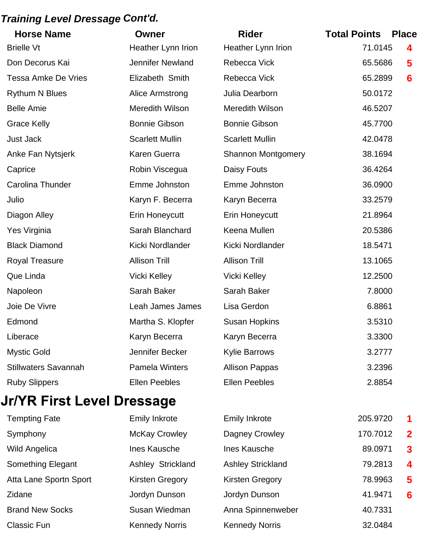#### *Training Level Dressage Cont'd.*

| <b>Horse Name</b>           | Owner                   | <b>Rider</b>              | <b>Total Points</b> | <b>Place</b>    |
|-----------------------------|-------------------------|---------------------------|---------------------|-----------------|
| <b>Brielle Vt</b>           | Heather Lynn Irion      | Heather Lynn Irion        | 71.0145             | 4               |
| Don Decorus Kai             | <b>Jennifer Newland</b> | Rebecca Vick              | 65.5686             | 5               |
| <b>Tessa Amke De Vries</b>  | Elizabeth Smith         | Rebecca Vick              | 65.2899             | 6               |
| <b>Rythum N Blues</b>       | Alice Armstrong         | Julia Dearborn            | 50.0172             |                 |
| <b>Belle Amie</b>           | <b>Meredith Wilson</b>  | <b>Meredith Wilson</b>    | 46.5207             |                 |
| <b>Grace Kelly</b>          | <b>Bonnie Gibson</b>    | <b>Bonnie Gibson</b>      | 45.7700             |                 |
| <b>Just Jack</b>            | <b>Scarlett Mullin</b>  | <b>Scarlett Mullin</b>    | 42.0478             |                 |
| Anke Fan Nytsjerk           | Karen Guerra            | <b>Shannon Montgomery</b> | 38.1694             |                 |
| Caprice                     | Robin Viscegua          | Daisy Fouts               | 36.4264             |                 |
| Carolina Thunder            | Emme Johnston           | Emme Johnston             | 36.0900             |                 |
| Julio                       | Karyn F. Becerra        | Karyn Becerra             | 33.2579             |                 |
| Diagon Alley                | Erin Honeycutt          | <b>Erin Honeycutt</b>     | 21.8964             |                 |
| Yes Virginia                | Sarah Blanchard         | Keena Mullen              | 20.5386             |                 |
| <b>Black Diamond</b>        | Kicki Nordlander        | Kicki Nordlander          | 18.5471             |                 |
| <b>Royal Treasure</b>       | <b>Allison Trill</b>    | <b>Allison Trill</b>      | 13.1065             |                 |
| Que Linda                   | <b>Vicki Kelley</b>     | <b>Vicki Kelley</b>       | 12.2500             |                 |
| Napoleon                    | Sarah Baker             | Sarah Baker               | 7.8000              |                 |
| Joie De Vivre               | Leah James James        | Lisa Gerdon               | 6.8861              |                 |
| Edmond                      | Martha S. Klopfer       | <b>Susan Hopkins</b>      | 3.5310              |                 |
| Liberace                    | Karyn Becerra           | Karyn Becerra             | 3.3300              |                 |
| <b>Mystic Gold</b>          | Jennifer Becker         | <b>Kylie Barrows</b>      | 3.2777              |                 |
| <b>Stillwaters Savannah</b> | Pamela Winters          | <b>Allison Pappas</b>     | 3.2396              |                 |
| <b>Ruby Slippers</b>        | <b>Ellen Peebles</b>    | <b>Ellen Peebles</b>      | 2.8854              |                 |
| Jr/YR First Level Dressage  |                         |                           |                     |                 |
| <b>Tempting Fate</b>        | <b>Emily Inkrote</b>    | <b>Emily Inkrote</b>      | 205.9720            | 1               |
| Symphony                    | <b>McKay Crowley</b>    | Dagney Crowley            | 170.7012            | $\mathbf{2}$    |
| <b>Wild Angelica</b>        | Ines Kausche            | Ines Kausche              | 89.0971             | 3               |
| Something Elegant           | Ashley Strickland       | <b>Ashley Strickland</b>  | 79.2813             | 4               |
| Atta Lane Sportn Sport      | <b>Kirsten Gregory</b>  | <b>Kirsten Gregory</b>    | 78.9963             | 5               |
| Zidane                      | Jordyn Dunson           | Jordyn Dunson             | 41.9471             | $6\phantom{1}6$ |
| <b>Brand New Socks</b>      | Susan Wiedman           | Anna Spinnenweber         | 40.7331             |                 |

Classic Fun **Kennedy Norris** Kennedy Norris Kennedy Norris 32.0484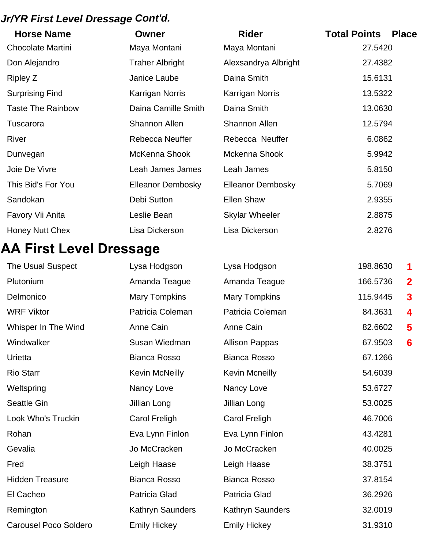## *Jr/YR First Level Dressage Cont'd.*

| <b>Horse Name</b>        | Owner                    | <b>Rider</b>             | <b>Total Points</b><br><b>Place</b> |
|--------------------------|--------------------------|--------------------------|-------------------------------------|
| <b>Chocolate Martini</b> | Maya Montani             | Maya Montani             | 27.5420                             |
| Don Alejandro            | <b>Traher Albright</b>   | Alexsandrya Albright     | 27.4382                             |
| Ripley Z                 | Janice Laube             | Daina Smith              | 15.6131                             |
| <b>Surprising Find</b>   | Karrigan Norris          | Karrigan Norris          | 13.5322                             |
| <b>Taste The Rainbow</b> | Daina Camille Smith      | Daina Smith              | 13.0630                             |
| Tuscarora                | <b>Shannon Allen</b>     | <b>Shannon Allen</b>     | 12.5794                             |
| River                    | <b>Rebecca Neuffer</b>   | Rebecca Neuffer          | 6.0862                              |
| Dunvegan                 | McKenna Shook            | Mckenna Shook            | 5.9942                              |
| Joie De Vivre            | Leah James James         | Leah James               | 5.8150                              |
| This Bid's For You       | <b>Elleanor Dembosky</b> | <b>Elleanor Dembosky</b> | 5.7069                              |
| Sandokan                 | Debi Sutton              | <b>Ellen Shaw</b>        | 2.9355                              |
| Favory Vii Anita         | Leslie Bean              | <b>Skylar Wheeler</b>    | 2.8875                              |
| <b>Honey Nutt Chex</b>   | Lisa Dickerson           | Lisa Dickerson           | 2.8276                              |

# **AA First Level Dressage**

| The Usual Suspect            | Lysa Hodgson          | Lysa Hodgson          | 198.8630 | 1              |
|------------------------------|-----------------------|-----------------------|----------|----------------|
| Plutonium                    | Amanda Teague         | Amanda Teague         | 166.5736 | $\overline{2}$ |
| Delmonico                    | <b>Mary Tompkins</b>  | <b>Mary Tompkins</b>  | 115.9445 | 3              |
| <b>WRF Viktor</b>            | Patricia Coleman      | Patricia Coleman      | 84.3631  | 4              |
| Whisper In The Wind          | Anne Cain             | Anne Cain             | 82.6602  | 5              |
| Windwalker                   | Susan Wiedman         | <b>Allison Pappas</b> | 67.9503  | 6              |
| Urietta                      | <b>Bianca Rosso</b>   | <b>Bianca Rosso</b>   | 67.1266  |                |
| <b>Rio Starr</b>             | <b>Kevin McNeilly</b> | <b>Kevin Mcneilly</b> | 54.6039  |                |
| Weltspring                   | Nancy Love            | Nancy Love            | 53.6727  |                |
| Seattle Gin                  | Jillian Long          | Jillian Long          | 53.0025  |                |
| Look Who's Truckin           | Carol Freligh         | Carol Freligh         | 46.7006  |                |
| Rohan                        | Eva Lynn Finlon       | Eva Lynn Finlon       | 43.4281  |                |
| Gevalia                      | Jo McCracken          | Jo McCracken          | 40.0025  |                |
| Fred                         | Leigh Haase           | Leigh Haase           | 38.3751  |                |
| <b>Hidden Treasure</b>       | <b>Bianca Rosso</b>   | <b>Bianca Rosso</b>   | 37.8154  |                |
| El Cacheo                    | Patricia Glad         | Patricia Glad         | 36.2926  |                |
| Remington                    | Kathryn Saunders      | Kathryn Saunders      | 32.0019  |                |
| <b>Carousel Poco Soldero</b> | <b>Emily Hickey</b>   | <b>Emily Hickey</b>   | 31.9310  |                |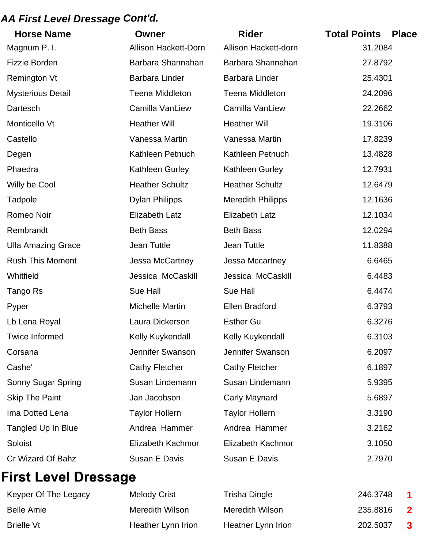#### *AA First Level Dressage Cont'd.*

| <b>Horse Name</b>         | <b>Owner</b>                | <b>Rider</b>             | <b>Total Points</b> | <b>Place</b> |
|---------------------------|-----------------------------|--------------------------|---------------------|--------------|
| Magnum P.I.               | <b>Allison Hackett-Dorn</b> | Allison Hackett-dorn     | 31.2084             |              |
| <b>Fizzie Borden</b>      | Barbara Shannahan           | Barbara Shannahan        | 27.8792             |              |
| <b>Remington Vt</b>       | <b>Barbara Linder</b>       | <b>Barbara Linder</b>    | 25.4301             |              |
| <b>Mysterious Detail</b>  | <b>Teena Middleton</b>      | <b>Teena Middleton</b>   | 24.2096             |              |
| Dartesch                  | Camilla VanLiew             | Camilla VanLiew          | 22.2662             |              |
| Monticello Vt             | <b>Heather Will</b>         | <b>Heather Will</b>      | 19.3106             |              |
| Castello                  | Vanessa Martin              | Vanessa Martin           | 17.8239             |              |
| Degen                     | Kathleen Petnuch            | Kathleen Petnuch         | 13.4828             |              |
| Phaedra                   | Kathleen Gurley             | <b>Kathleen Gurley</b>   | 12.7931             |              |
| Willy be Cool             | <b>Heather Schultz</b>      | <b>Heather Schultz</b>   | 12.6479             |              |
| Tadpole                   | <b>Dylan Philipps</b>       | <b>Meredith Philipps</b> | 12.1636             |              |
| Romeo Noir                | <b>Elizabeth Latz</b>       | <b>Elizabeth Latz</b>    | 12.1034             |              |
| Rembrandt                 | <b>Beth Bass</b>            | <b>Beth Bass</b>         | 12.0294             |              |
| <b>Ulla Amazing Grace</b> | Jean Tuttle                 | Jean Tuttle              | 11.8388             |              |
| <b>Rush This Moment</b>   | Jessa McCartney             | Jessa Mccartney          | 6.6465              |              |
| Whitfield                 | Jessica McCaskill           | Jessica McCaskill        | 6.4483              |              |
| Tango Rs                  | Sue Hall                    | Sue Hall                 | 6.4474              |              |
| Pyper                     | <b>Michelle Martin</b>      | <b>Ellen Bradford</b>    | 6.3793              |              |
| Lb Lena Royal             | Laura Dickerson             | <b>Esther Gu</b>         | 6.3276              |              |
| <b>Twice Informed</b>     | Kelly Kuykendall            | Kelly Kuykendall         | 6.3103              |              |
| Corsana                   | Jennifer Swanson            | Jennifer Swanson         | 6.2097              |              |
| Cashe'                    | <b>Cathy Fletcher</b>       | <b>Cathy Fletcher</b>    | 6.1897              |              |
| Sonny Sugar Spring        | Susan Lindemann             | Susan Lindemann          | 5.9395              |              |
| <b>Skip The Paint</b>     | Jan Jacobson                | Carly Maynard            | 5.6897              |              |
| Ima Dotted Lena           | <b>Taylor Hollern</b>       | <b>Taylor Hollern</b>    | 3.3190              |              |
| Tangled Up In Blue        | Andrea Hammer               | Andrea Hammer            | 3.2162              |              |
| Soloist                   | Elizabeth Kachmor           | Elizabeth Kachmor        | 3.1050              |              |
| Cr Wizard Of Bahz         | Susan E Davis               | Susan E Davis            | 2.7970              |              |

# **First Level Dressage**

| Keyper Of The Legacy | Melody Crist       | Trisha Dingle      | 246.3748 | $\blacktriangleleft$    |
|----------------------|--------------------|--------------------|----------|-------------------------|
| Belle Amie           | Meredith Wilson    | Meredith Wilson    | 235,8816 | $\overline{\mathbf{2}}$ |
| Brielle Vt           | Heather Lynn Irion | Heather Lynn Irion | 202.5037 | $\mathbf{3}$            |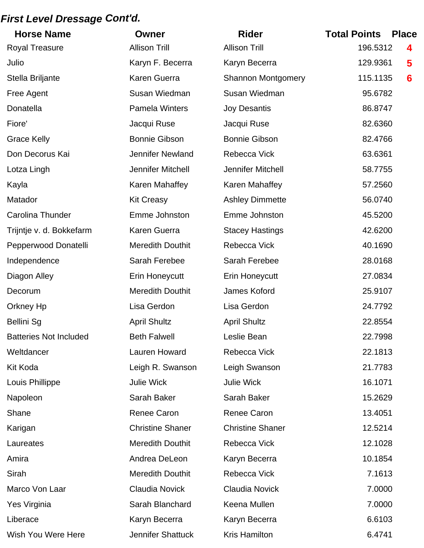#### *First Level Dressage Cont'd.*

| <b>Horse Name</b>             | Owner                   | <b>Rider</b>              | <b>Total Points</b><br><b>Place</b> |
|-------------------------------|-------------------------|---------------------------|-------------------------------------|
| <b>Royal Treasure</b>         | <b>Allison Trill</b>    | <b>Allison Trill</b>      | 196.5312<br>4                       |
| Julio                         | Karyn F. Becerra        | Karyn Becerra             | 129.9361<br>5                       |
| Stella Briljante              | Karen Guerra            | <b>Shannon Montgomery</b> | 115.1135<br>6                       |
| Free Agent                    | Susan Wiedman           | Susan Wiedman             | 95.6782                             |
| Donatella                     | <b>Pamela Winters</b>   | <b>Joy Desantis</b>       | 86.8747                             |
| Fiore'                        | Jacqui Ruse             | Jacqui Ruse               | 82.6360                             |
| <b>Grace Kelly</b>            | <b>Bonnie Gibson</b>    | <b>Bonnie Gibson</b>      | 82.4766                             |
| Don Decorus Kai               | <b>Jennifer Newland</b> | Rebecca Vick              | 63.6361                             |
| Lotza Lingh                   | Jennifer Mitchell       | Jennifer Mitchell         | 58.7755                             |
| Kayla                         | Karen Mahaffey          | Karen Mahaffey            | 57.2560                             |
| Matador                       | <b>Kit Creasy</b>       | <b>Ashley Dimmette</b>    | 56.0740                             |
| <b>Carolina Thunder</b>       | Emme Johnston           | Emme Johnston             | 45.5200                             |
| Trijntje v. d. Bokkefarm      | Karen Guerra            | <b>Stacey Hastings</b>    | 42.6200                             |
| Pepperwood Donatelli          | <b>Meredith Douthit</b> | Rebecca Vick              | 40.1690                             |
| Independence                  | Sarah Ferebee           | Sarah Ferebee             | 28.0168                             |
| Diagon Alley                  | Erin Honeycutt          | <b>Erin Honeycutt</b>     | 27.0834                             |
| Decorum                       | <b>Meredith Douthit</b> | James Koford              | 25.9107                             |
| Orkney Hp                     | Lisa Gerdon             | Lisa Gerdon               | 24.7792                             |
| <b>Bellini Sg</b>             | <b>April Shultz</b>     | <b>April Shultz</b>       | 22.8554                             |
| <b>Batteries Not Included</b> | <b>Beth Falwell</b>     | Leslie Bean               | 22.7998                             |
| Weltdancer                    | Lauren Howard           | Rebecca Vick              | 22.1813                             |
| <b>Kit Koda</b>               | Leigh R. Swanson        | Leigh Swanson             | 21.7783                             |
| Louis Phillippe               | Julie Wick              | Julie Wick                | 16.1071                             |
| Napoleon                      | Sarah Baker             | Sarah Baker               | 15.2629                             |
| Shane                         | <b>Renee Caron</b>      | <b>Renee Caron</b>        | 13.4051                             |
| Karigan                       | <b>Christine Shaner</b> | <b>Christine Shaner</b>   | 12.5214                             |
| Laureates                     | <b>Meredith Douthit</b> | Rebecca Vick              | 12.1028                             |
| Amira                         | Andrea DeLeon           | Karyn Becerra             | 10.1854                             |
| Sirah                         | <b>Meredith Douthit</b> | Rebecca Vick              | 7.1613                              |
| Marco Von Laar                | <b>Claudia Novick</b>   | <b>Claudia Novick</b>     | 7.0000                              |
| Yes Virginia                  | Sarah Blanchard         | Keena Mullen              | 7.0000                              |
| Liberace                      | Karyn Becerra           | Karyn Becerra             | 6.6103                              |
| Wish You Were Here            | Jennifer Shattuck       | Kris Hamilton             | 6.4741                              |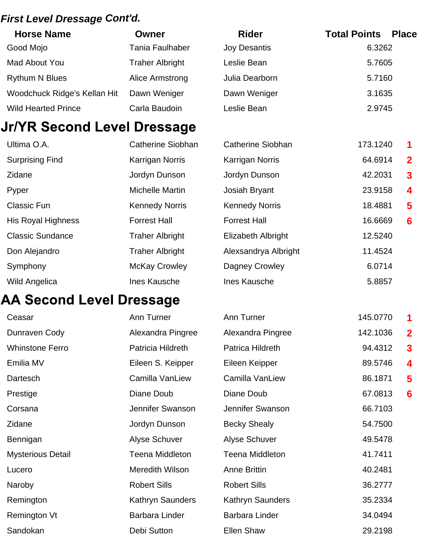#### *First Level Dressage Cont'd.*

| <b>Horse Name</b>            | Owner                  | <b>Rider</b>        | <b>Total Points</b><br><b>Place</b> |
|------------------------------|------------------------|---------------------|-------------------------------------|
| Good Mojo                    | <b>Tania Faulhaber</b> | <b>Joy Desantis</b> | 6.3262                              |
| Mad About You                | <b>Traher Albright</b> | Leslie Bean         | 5.7605                              |
| <b>Rythum N Blues</b>        | Alice Armstrong        | Julia Dearborn      | 5.7160                              |
| Woodchuck Ridge's Kellan Hit | Dawn Weniger           | Dawn Weniger        | 3.1635                              |
| <b>Wild Hearted Prince</b>   | Carla Baudoin          | Leslie Bean         | 2.9745                              |

# Jr/YR Second Level Dressage

| Ultima O.A.               | <b>Catherine Siobhan</b> | Catherine Siobhan         | 173.1240 | $\blacktriangleleft$ |
|---------------------------|--------------------------|---------------------------|----------|----------------------|
| <b>Surprising Find</b>    | <b>Karrigan Norris</b>   | <b>Karrigan Norris</b>    | 64.6914  | $\mathbf 2$          |
| Zidane                    | Jordyn Dunson            | Jordyn Dunson             | 42.2031  | $\mathbf{3}$         |
| Pyper                     | Michelle Martin          | Josiah Bryant             | 23.9158  | $\boldsymbol{4}$     |
| <b>Classic Fun</b>        | <b>Kennedy Norris</b>    | <b>Kennedy Norris</b>     | 18.4881  | 5                    |
| <b>His Royal Highness</b> | <b>Forrest Hall</b>      | <b>Forrest Hall</b>       | 16.6669  | 6                    |
| <b>Classic Sundance</b>   | <b>Traher Albright</b>   | <b>Elizabeth Albright</b> | 12.5240  |                      |
| Don Alejandro             | <b>Traher Albright</b>   | Alexsandrya Albright      | 11.4524  |                      |
| Symphony                  | <b>McKay Crowley</b>     | Dagney Crowley            | 6.0714   |                      |
| <b>Wild Angelica</b>      | Ines Kausche             | Ines Kausche              | 5.8857   |                      |

## **AA Second Level Dressage**

| Ceasar                   | Ann Turner              | Ann Turner              | 145.0770 | 1               |
|--------------------------|-------------------------|-------------------------|----------|-----------------|
| Dunraven Cody            | Alexandra Pingree       | Alexandra Pingree       | 142.1036 | $\overline{2}$  |
| <b>Whinstone Ferro</b>   | Patricia Hildreth       | Patrica Hildreth        | 94.4312  | $\mathbf{3}$    |
| Emilia MV                | Eileen S. Keipper       | Eileen Keipper          | 89.5746  | 4               |
| Dartesch                 | Camilla VanLiew         | Camilla VanLiew         | 86.1871  | 5               |
| Prestige                 | Diane Doub              | Diane Doub              | 67.0813  | $6\phantom{1}6$ |
| Corsana                  | Jennifer Swanson        | Jennifer Swanson        | 66.7103  |                 |
| Zidane                   | Jordyn Dunson           | <b>Becky Shealy</b>     | 54.7500  |                 |
| Bennigan                 | Alyse Schuver           | Alyse Schuver           | 49.5478  |                 |
| <b>Mysterious Detail</b> | <b>Teena Middleton</b>  | Teena Middleton         | 41.7411  |                 |
| Lucero                   | Meredith Wilson         | <b>Anne Brittin</b>     | 40.2481  |                 |
| Naroby                   | <b>Robert Sills</b>     | <b>Robert Sills</b>     | 36.2777  |                 |
| Remington                | <b>Kathryn Saunders</b> | <b>Kathryn Saunders</b> | 35.2334  |                 |
| Remington Vt             | <b>Barbara Linder</b>   | Barbara Linder          | 34.0494  |                 |
| Sandokan                 | Debi Sutton             | <b>Ellen Shaw</b>       | 29.2198  |                 |
|                          |                         |                         |          |                 |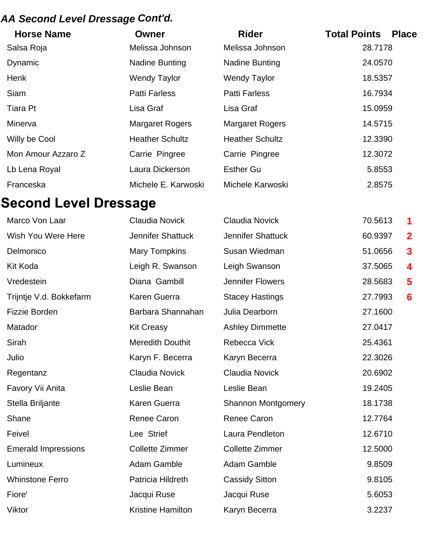## *AA Second Level Dressage Cont'd.*

| <b>Horse Name</b>  | Owner                  | <b>Rider</b>           | <b>Total Points</b><br><b>Place</b> |
|--------------------|------------------------|------------------------|-------------------------------------|
| Salsa Roja         | Melissa Johnson        | Melissa Johnson        | 28.7178                             |
| Dynamic            | Nadine Bunting         | <b>Nadine Bunting</b>  | 24.0570                             |
| Henk               | <b>Wendy Taylor</b>    | <b>Wendy Taylor</b>    | 18.5357                             |
| <b>Siam</b>        | <b>Patti Farless</b>   | <b>Patti Farless</b>   | 16.7934                             |
| Tiara Pt           | Lisa Graf              | Lisa Graf              | 15.0959                             |
| Minerva            | <b>Margaret Rogers</b> | <b>Margaret Rogers</b> | 14.5715                             |
| Willy be Cool      | <b>Heather Schultz</b> | <b>Heather Schultz</b> | 12.3390                             |
| Mon Amour Azzaro Z | Carrie Pingree         | Carrie Pingree         | 12.3072                             |
| Lb Lena Royal      | Laura Dickerson        | <b>Esther Gu</b>       | 5.8553                              |
| Franceska          | Michele E. Karwoski    | Michele Karwoski       | 2.8575                              |

# **Second Level Dressage**

| Marco Von Laar             | <b>Claudia Novick</b>    | <b>Claudia Novick</b>     | 70.5613 | 1               |
|----------------------------|--------------------------|---------------------------|---------|-----------------|
| Wish You Were Here         | <b>Jennifer Shattuck</b> | Jennifer Shattuck         | 60.9397 | $\overline{2}$  |
| Delmonico                  | <b>Mary Tompkins</b>     | Susan Wiedman             | 51.0656 | $\mathbf{3}$    |
| Kit Koda                   | Leigh R. Swanson         | Leigh Swanson             | 37.5065 | 4               |
| Vredestein                 | Diana Gambill            | <b>Jennifer Flowers</b>   | 28.5683 | 5               |
| Trijntje V.d. Bokkefarm    | Karen Guerra             | <b>Stacey Hastings</b>    | 27.7993 | $6\phantom{1}6$ |
| <b>Fizzie Borden</b>       | Barbara Shannahan        | Julia Dearborn            | 27.1600 |                 |
| Matador                    | <b>Kit Creasy</b>        | <b>Ashley Dimmette</b>    | 27.0417 |                 |
| Sirah                      | <b>Meredith Douthit</b>  | Rebecca Vick              | 25.4361 |                 |
| Julio                      | Karyn F. Becerra         | Karyn Becerra             | 22.3026 |                 |
| Regentanz                  | Claudia Novick           | <b>Claudia Novick</b>     | 20.6902 |                 |
| Favory Vii Anita           | Leslie Bean              | Leslie Bean               | 19.2405 |                 |
| Stella Briljante           | Karen Guerra             | <b>Shannon Montgomery</b> | 18.1738 |                 |
| Shane                      | <b>Renee Caron</b>       | <b>Renee Caron</b>        | 12.7764 |                 |
| Feivel                     | Lee Strief               | Laura Pendleton           | 12.6710 |                 |
| <b>Emerald Impressions</b> | <b>Collette Zimmer</b>   | <b>Collette Zimmer</b>    | 12.5000 |                 |
| Lumineux                   | Adam Gamble              | Adam Gamble               | 9.8509  |                 |
| <b>Whinstone Ferro</b>     | Patricia Hildreth        | <b>Cassidy Sitton</b>     | 9.8105  |                 |
| Fiore'                     | Jacqui Ruse              | Jacqui Ruse               | 5.6053  |                 |
| Viktor                     | <b>Kristine Hamilton</b> | Karyn Becerra             | 3.2237  |                 |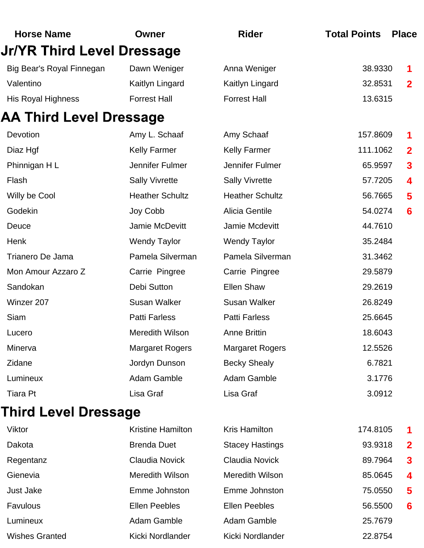| <b>Horse Name</b>                 | Owner                    | <b>Rider</b>           | <b>Total Points</b> | <b>Place</b>            |
|-----------------------------------|--------------------------|------------------------|---------------------|-------------------------|
| <b>Jr/YR Third Level Dressage</b> |                          |                        |                     |                         |
| Big Bear's Royal Finnegan         | Dawn Weniger             | Anna Weniger           | 38.9330             |                         |
| Valentino                         | Kaitlyn Lingard          | Kaitlyn Lingard        | 32.8531             | $\mathbf{2}$            |
| His Royal Highness                | <b>Forrest Hall</b>      | <b>Forrest Hall</b>    | 13.6315             |                         |
| <b>AA Third Level Dressage</b>    |                          |                        |                     |                         |
| Devotion                          | Amy L. Schaaf            | Amy Schaaf             | 157.8609            | 1                       |
| Diaz Hgf                          | <b>Kelly Farmer</b>      | <b>Kelly Farmer</b>    | 111.1062            | $\overline{2}$          |
| Phinnigan HL                      | Jennifer Fulmer          | Jennifer Fulmer        | 65.9597             | $\overline{\mathbf{3}}$ |
| Flash                             | <b>Sally Vivrette</b>    | <b>Sally Vivrette</b>  | 57.7205             | 4                       |
| Willy be Cool                     | <b>Heather Schultz</b>   | <b>Heather Schultz</b> | 56.7665             | 5                       |
| Godekin                           | Joy Cobb                 | <b>Alicia Gentile</b>  | 54.0274             | 6                       |
| Deuce                             | Jamie McDevitt           | Jamie Mcdevitt         | 44.7610             |                         |
| Henk                              | <b>Wendy Taylor</b>      | <b>Wendy Taylor</b>    | 35.2484             |                         |
| Trianero De Jama                  | Pamela Silverman         | Pamela Silverman       | 31.3462             |                         |
| Mon Amour Azzaro Z                | Carrie Pingree           | Carrie Pingree         | 29.5879             |                         |
| Sandokan                          | Debi Sutton              | <b>Ellen Shaw</b>      | 29.2619             |                         |
| Winzer 207                        | <b>Susan Walker</b>      | <b>Susan Walker</b>    | 26.8249             |                         |
| Siam                              | <b>Patti Farless</b>     | <b>Patti Farless</b>   | 25.6645             |                         |
| Lucero                            | <b>Meredith Wilson</b>   | <b>Anne Brittin</b>    | 18.6043             |                         |
| Minerva                           | <b>Margaret Rogers</b>   | <b>Margaret Rogers</b> | 12.5526             |                         |
| Zidane                            | Jordyn Dunson            | <b>Becky Shealy</b>    | 6.7821              |                         |
| Lumineux                          | Adam Gamble              | Adam Gamble            | 3.1776              |                         |
| <b>Tiara Pt</b>                   | Lisa Graf                | Lisa Graf              | 3.0912              |                         |
| Third Level Dressage              |                          |                        |                     |                         |
| Viktor                            | <b>Kristine Hamilton</b> | <b>Kris Hamilton</b>   | 174.8105            | 1                       |
| Dakota                            | <b>Brenda Duet</b>       | <b>Stacey Hastings</b> | 93.9318             | $\mathbf{2}$            |
| Regentanz                         | <b>Claudia Novick</b>    | <b>Claudia Novick</b>  | 89.7964             | $\overline{\mathbf{3}}$ |
| Gienevia                          | <b>Meredith Wilson</b>   | <b>Meredith Wilson</b> | 85.0645             | 4                       |
| Just Jake                         | Emme Johnston            | Emme Johnston          | 75.0550             | 5                       |
| Favulous                          | <b>Ellen Peebles</b>     | <b>Ellen Peebles</b>   | 56.5500             | 6                       |
| Lumineux                          | Adam Gamble              | Adam Gamble            | 25.7679             |                         |
|                                   |                          |                        |                     |                         |

Wishes Granted **Kicki Nordlander** Kicki Nordlander 22.8754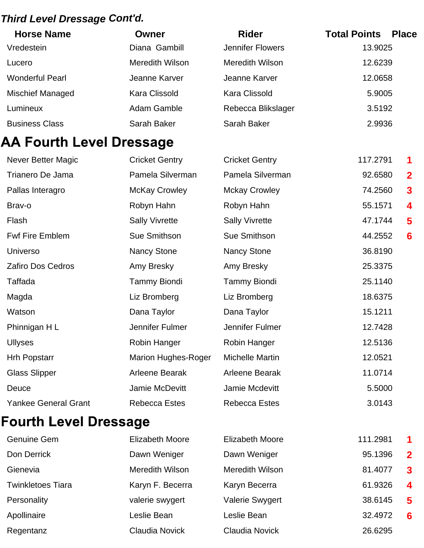## *Third Level Dressage Cont'd.*

| <b>Horse Name</b>               | Owner                      | <b>Rider</b>            | <b>Total Points</b> | <b>Place</b>   |
|---------------------------------|----------------------------|-------------------------|---------------------|----------------|
| Vredestein                      | Diana Gambill              | <b>Jennifer Flowers</b> | 13.9025             |                |
| Lucero                          | Meredith Wilson            | <b>Meredith Wilson</b>  | 12.6239             |                |
| <b>Wonderful Pearl</b>          | Jeanne Karver              | Jeanne Karver           | 12.0658             |                |
| Mischief Managed                | <b>Kara Clissold</b>       | <b>Kara Clissold</b>    | 5.9005              |                |
| Lumineux                        | Adam Gamble                | Rebecca Blikslager      | 3.5192              |                |
| <b>Business Class</b>           | Sarah Baker                | Sarah Baker             | 2.9936              |                |
| <b>AA Fourth Level Dressage</b> |                            |                         |                     |                |
| <b>Never Better Magic</b>       | <b>Cricket Gentry</b>      | <b>Cricket Gentry</b>   | 117.2791            | 1              |
| Trianero De Jama                | Pamela Silverman           | Pamela Silverman        | 92.6580             | $\overline{2}$ |
| Pallas Interagro                | <b>McKay Crowley</b>       | <b>Mckay Crowley</b>    | 74.2560             | $\mathbf{3}$   |
| Brav-o                          | Robyn Hahn                 | Robyn Hahn              | 55.1571             | 4              |
| Flash                           | <b>Sally Vivrette</b>      | <b>Sally Vivrette</b>   | 47.1744             | 5              |
| <b>Fwf Fire Emblem</b>          | Sue Smithson               | Sue Smithson            | 44.2552             | 6              |
| Universo                        | <b>Nancy Stone</b>         | Nancy Stone             | 36.8190             |                |
| <b>Zafiro Dos Cedros</b>        | Amy Bresky                 | Amy Bresky              | 25.3375             |                |
| Taffada                         | <b>Tammy Biondi</b>        | <b>Tammy Biondi</b>     | 25.1140             |                |
| Magda                           | Liz Bromberg               | Liz Bromberg            | 18.6375             |                |
| Watson                          | Dana Taylor                | Dana Taylor             | 15.1211             |                |
| Phinnigan HL                    | Jennifer Fulmer            | Jennifer Fulmer         | 12.7428             |                |
| <b>Ullyses</b>                  | Robin Hanger               | Robin Hanger            | 12.5136             |                |
| <b>Hrh Popstarr</b>             | <b>Marion Hughes-Roger</b> | <b>Michelle Martin</b>  | 12.0521             |                |
| <b>Glass Slipper</b>            | Arleene Bearak             | Arleene Bearak          | 11.0714             |                |
| Deuce                           | Jamie McDevitt             | Jamie Mcdevitt          | 5.5000              |                |
| <b>Yankee General Grant</b>     | <b>Rebecca Estes</b>       | <b>Rebecca Estes</b>    | 3.0143              |                |
| <b>Fourth Level Dressage</b>    |                            |                         |                     |                |

| <b>Genuine Gem</b>       | <b>Elizabeth Moore</b> | <b>Elizabeth Moore</b> | 111.2981 | $\blacktriangleleft$ |
|--------------------------|------------------------|------------------------|----------|----------------------|
| Don Derrick              | Dawn Weniger           | Dawn Weniger           | 95.1396  | $\mathbf{2}$         |
| Gienevia                 | <b>Meredith Wilson</b> | <b>Meredith Wilson</b> | 81.4077  | $\mathbf{3}$         |
| <b>Twinkletoes Tiara</b> | Karyn F. Becerra       | Karyn Becerra          | 61.9326  | $\boldsymbol{4}$     |
| Personality              | valerie swygert        | <b>Valerie Swygert</b> | 38.6145  | 5                    |
| Apollinaire              | Leslie Bean            | Leslie Bean            | 32.4972  | 6                    |
| Regentanz                | <b>Claudia Novick</b>  | <b>Claudia Novick</b>  | 26.6295  |                      |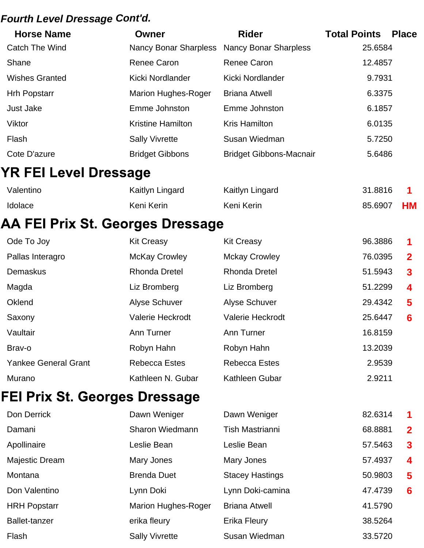#### *Fourth Level Dressage Cont'd.*

| <b>Horse Name</b>            | Owner                      | <b>Rider</b>                   | <b>Total Points</b><br><b>Place</b> |  |
|------------------------------|----------------------------|--------------------------------|-------------------------------------|--|
| Catch The Wind               | Nancy Bonar Sharpless      | <b>Nancy Bonar Sharpless</b>   | 25.6584                             |  |
| Shane                        | <b>Renee Caron</b>         | Renee Caron                    | 12.4857                             |  |
| <b>Wishes Granted</b>        | Kicki Nordlander           | Kicki Nordlander               | 9.7931                              |  |
| <b>Hrh Popstarr</b>          | <b>Marion Hughes-Roger</b> | <b>Briana Atwell</b>           | 6.3375                              |  |
| Just Jake                    | Emme Johnston              | Emme Johnston                  | 6.1857                              |  |
| Viktor                       | <b>Kristine Hamilton</b>   | <b>Kris Hamilton</b>           | 6.0135                              |  |
| Flash                        | <b>Sally Vivrette</b>      | Susan Wiedman                  | 5.7250                              |  |
| Cote D'azure                 | <b>Bridget Gibbons</b>     | <b>Bridget Gibbons-Macnair</b> | 5.6486                              |  |
| <b>YR FEI Level Dressage</b> |                            |                                |                                     |  |

| Valentino      | Kaitlyn Lingard | Kaitlyn Lingard | 31.8816 |    |
|----------------|-----------------|-----------------|---------|----|
| <b>Idolace</b> | Keni Kerin      | Keni Kerin      | 85.6907 | HM |

## AA FEI Prix St. Georges Dressage

| Ode To Joy                  | <b>Kit Creasy</b>       | <b>Kit Creasy</b>       | 96.3886 | 1                |
|-----------------------------|-------------------------|-------------------------|---------|------------------|
| Pallas Interagro            | <b>McKay Crowley</b>    | <b>Mckay Crowley</b>    | 76.0395 | $\mathbf{2}$     |
| Demaskus                    | <b>Rhonda Dretel</b>    | <b>Rhonda Dretel</b>    | 51.5943 | $\mathbf{3}$     |
| Magda                       | Liz Bromberg            | Liz Bromberg            | 51.2299 | $\boldsymbol{4}$ |
| Oklend                      | <b>Alyse Schuver</b>    | Alyse Schuver           | 29.4342 | $\sqrt{5}$       |
| Saxony                      | <b>Valerie Heckrodt</b> | <b>Valerie Heckrodt</b> | 25.6447 | 6                |
| Vaultair                    | Ann Turner              | Ann Turner              | 16.8159 |                  |
| Brav-o                      | Robyn Hahn              | Robyn Hahn              | 13.2039 |                  |
| <b>Yankee General Grant</b> | <b>Rebecca Estes</b>    | Rebecca Estes           | 2.9539  |                  |
| Murano                      | Kathleen N. Gubar       | Kathleen Gubar          | 2.9211  |                  |

## FEI Prix St. Georges Dressage

| Don Derrick          | Dawn Weniger               | Dawn Weniger           | 82.6314 | $\mathbf 1$      |
|----------------------|----------------------------|------------------------|---------|------------------|
| Damani               | Sharon Wiedmann            | <b>Tish Mastrianni</b> | 68.8881 | $\mathbf{2}$     |
| Apollinaire          | Leslie Bean                | Leslie Bean            | 57.5463 | $\mathbf{3}$     |
| Majestic Dream       | Mary Jones                 | Mary Jones             | 57.4937 | $\boldsymbol{4}$ |
| Montana              | <b>Brenda Duet</b>         | <b>Stacey Hastings</b> | 50.9803 | 5                |
| Don Valentino        | Lynn Doki                  | Lynn Doki-camina       | 47.4739 | $6 \,$           |
| <b>HRH Popstarr</b>  | <b>Marion Hughes-Roger</b> | <b>Briana Atwell</b>   | 41.5790 |                  |
| <b>Ballet-tanzer</b> | erika fleury               | Erika Fleury           | 38.5264 |                  |
| Flash                | <b>Sally Vivrette</b>      | Susan Wiedman          | 33.5720 |                  |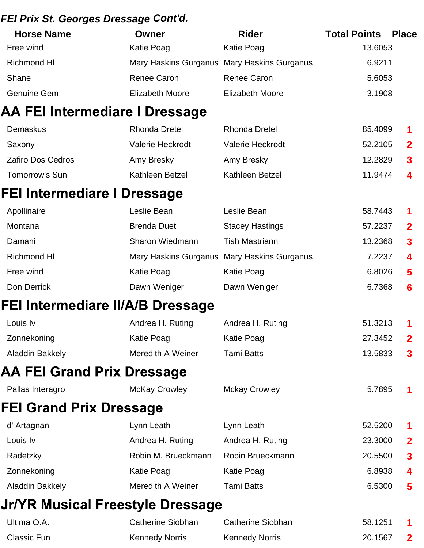#### *FEI Prix St. Georges Dressage Cont'd.*

| <b>Horse Name</b> | Owner           | <b>Rider</b>                                | <b>Total Points</b><br><b>Place</b> |
|-------------------|-----------------|---------------------------------------------|-------------------------------------|
| Free wind         | Katie Poag      | Katie Poag                                  | 13.6053                             |
| Richmond HI       |                 | Mary Haskins Gurganus Mary Haskins Gurganus | 6.9211                              |
| Shane             | Renee Caron     | Renee Caron                                 | 5.6053                              |
| Genuine Gem       | Elizabeth Moore | Elizabeth Moore                             | 3.1908                              |

#### **AA FEI Intermediare I Dressage**

| Demaskus                 | <b>Rhonda Dretel</b> | <b>Rhonda Dretel</b>    | 85.4099 | $\blacksquare$          |
|--------------------------|----------------------|-------------------------|---------|-------------------------|
| Saxony                   | Valerie Heckrodt     | <b>Valerie Heckrodt</b> | 52.2105 | $\overline{\mathbf{2}}$ |
| <b>Zafiro Dos Cedros</b> | Amy Bresky           | Amy Bresky              | 12.2829 | $\mathbf{3}$            |
| Tomorrow's Sun           | Kathleen Betzel      | Kathleen Betzel         | 11.9474 | $\overline{\mathbf{4}}$ |

#### FEI Intermediare I Dressage

| Apollinaire        | Leslie Bean        | Leslie Bean                                 | 58.7443 | $\blacksquare$   |
|--------------------|--------------------|---------------------------------------------|---------|------------------|
| Montana            | <b>Brenda Duet</b> | <b>Stacey Hastings</b>                      | 57.2237 | $\mathbf{2}$     |
| Damani             | Sharon Wiedmann    | Tish Mastrianni                             | 13.2368 | $\mathbf{3}$     |
| <b>Richmond HI</b> |                    | Mary Haskins Gurganus Mary Haskins Gurganus | 7.2237  | $\boldsymbol{4}$ |
| Free wind          | Katie Poag         | Katie Poag                                  | 6.8026  | $\sqrt{5}$       |
| Don Derrick        | Dawn Weniger       | Dawn Weniger                                | 6.7368  | 6                |

#### FEI Intermediare II/A/B Dressage

| Louis Iv        | Andrea H. Ruting  | Andrea H. Ruting | 51.3213 | $\overline{1}$          |
|-----------------|-------------------|------------------|---------|-------------------------|
| Zonnekoning     | Katie Poag        | Katie Poag       | 27.3452 | $\overline{\mathbf{2}}$ |
| Aladdin Bakkely | Meredith A Weiner | Tami Batts       | 13.5833 | $\mathbf{3}$            |

## **AA FEI Grand Prix Dressage**

| Pallas Interagro | <b>McKay Crowley</b> | <b>Mckay Crowley</b> | 5.7895 |  |
|------------------|----------------------|----------------------|--------|--|
|                  |                      |                      |        |  |

## **FEI Grand Prix Dressage**

| d' Artagnan     | Lynn Leath          | Lynn Leath       | 52.5200 | $\blacksquare$          |
|-----------------|---------------------|------------------|---------|-------------------------|
| Louis Iv        | Andrea H. Ruting    | Andrea H. Ruting | 23.3000 | $\overline{\mathbf{2}}$ |
| Radetzky        | Robin M. Brueckmann | Robin Brueckmann | 20.5500 | $\mathbf{3}$            |
| Zonnekoning     | Katie Poag          | Katie Poag       | 6.8938  | $\overline{\mathbf{4}}$ |
| Aladdin Bakkely | Meredith A Weiner   | Tami Batts       | 6.5300  | $\sqrt{5}$              |

## Jr/YR Musical Freestyle Dressage

| Ultima O.A. | Catherine Siobhan     | Catherine Siobhan     | 58.1251 |  |
|-------------|-----------------------|-----------------------|---------|--|
| Classic Fun | <b>Kennedy Norris</b> | <b>Kennedy Norris</b> | 20.1567 |  |